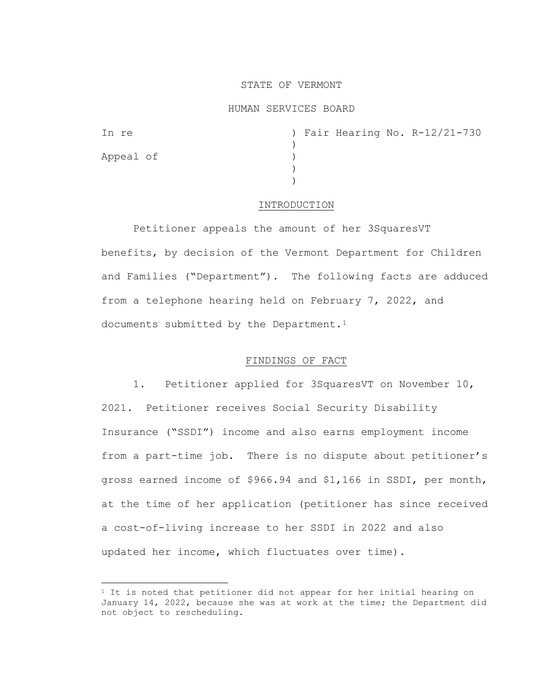### STATE OF VERMONT

### HUMAN SERVICES BOARD

| In re     |  |  | ) Fair Hearing No. R-12/21-730 |
|-----------|--|--|--------------------------------|
|           |  |  |                                |
| Appeal of |  |  |                                |
|           |  |  |                                |
|           |  |  |                                |

### INTRODUCTION

Petitioner appeals the amount of her 3SquaresVT benefits, by decision of the Vermont Department for Children and Families ("Department"). The following facts are adduced from a telephone hearing held on February 7, 2022, and documents submitted by the Department.<sup>[1](#page-0-0)</sup>

# FINDINGS OF FACT

1. Petitioner applied for 3SquaresVT on November 10, 2021. Petitioner receives Social Security Disability Insurance ("SSDI") income and also earns employment income from a part-time job. There is no dispute about petitioner's gross earned income of \$966.94 and \$1,166 in SSDI, per month, at the time of her application (petitioner has since received a cost-of-living increase to her SSDI in 2022 and also updated her income, which fluctuates over time).

<span id="page-0-0"></span> $1$  It is noted that petitioner did not appear for her initial hearing on January 14, 2022, because she was at work at the time; the Department did not object to rescheduling.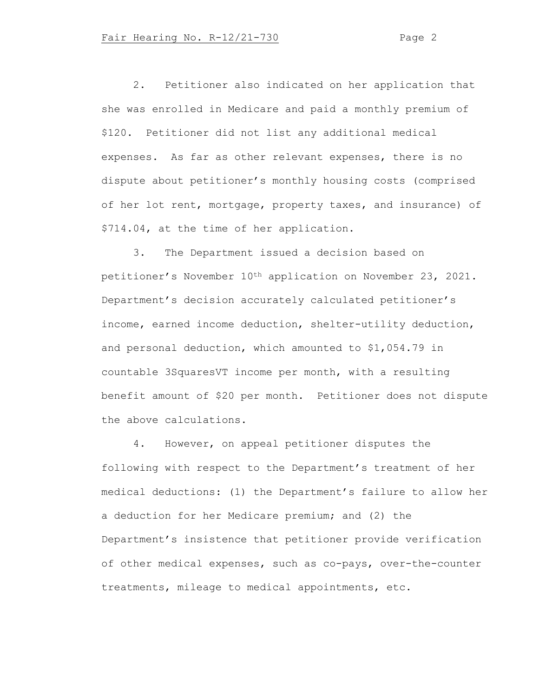2. Petitioner also indicated on her application that she was enrolled in Medicare and paid a monthly premium of \$120. Petitioner did not list any additional medical expenses. As far as other relevant expenses, there is no dispute about petitioner's monthly housing costs (comprised of her lot rent, mortgage, property taxes, and insurance) of \$714.04, at the time of her application.

3. The Department issued a decision based on petitioner's November 10th application on November 23, 2021. Department's decision accurately calculated petitioner's income, earned income deduction, shelter-utility deduction, and personal deduction, which amounted to \$1,054.79 in countable 3SquaresVT income per month, with a resulting benefit amount of \$20 per month. Petitioner does not dispute the above calculations.

4. However, on appeal petitioner disputes the following with respect to the Department's treatment of her medical deductions: (1) the Department's failure to allow her a deduction for her Medicare premium; and (2) the Department's insistence that petitioner provide verification of other medical expenses, such as co-pays, over-the-counter treatments, mileage to medical appointments, etc.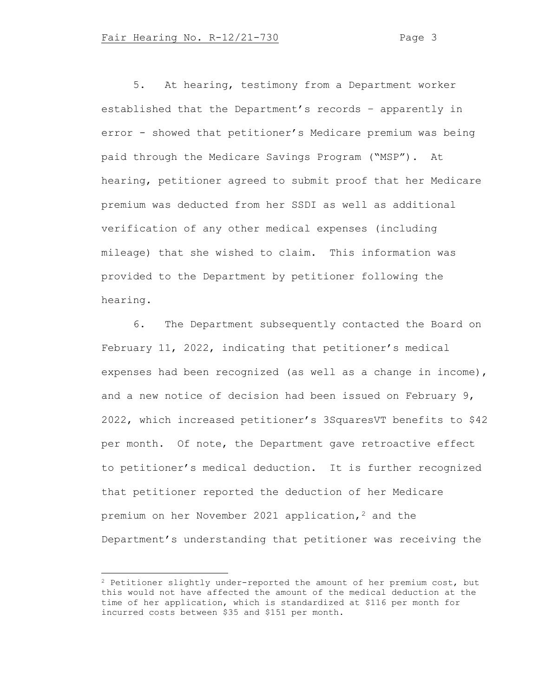5. At hearing, testimony from a Department worker established that the Department's records – apparently in error - showed that petitioner's Medicare premium was being paid through the Medicare Savings Program ("MSP"). At hearing, petitioner agreed to submit proof that her Medicare premium was deducted from her SSDI as well as additional verification of any other medical expenses (including mileage) that she wished to claim. This information was provided to the Department by petitioner following the hearing.

6. The Department subsequently contacted the Board on February 11, 2022, indicating that petitioner's medical expenses had been recognized (as well as a change in income), and a new notice of decision had been issued on February 9, 2022, which increased petitioner's 3SquaresVT benefits to \$42 per month. Of note, the Department gave retroactive effect to petitioner's medical deduction. It is further recognized that petitioner reported the deduction of her Medicare premium on her November [2](#page-2-0)021 application,  $2$  and the Department's understanding that petitioner was receiving the

<span id="page-2-0"></span><sup>2</sup> Petitioner slightly under-reported the amount of her premium cost, but this would not have affected the amount of the medical deduction at the time of her application, which is standardized at \$116 per month for incurred costs between \$35 and \$151 per month.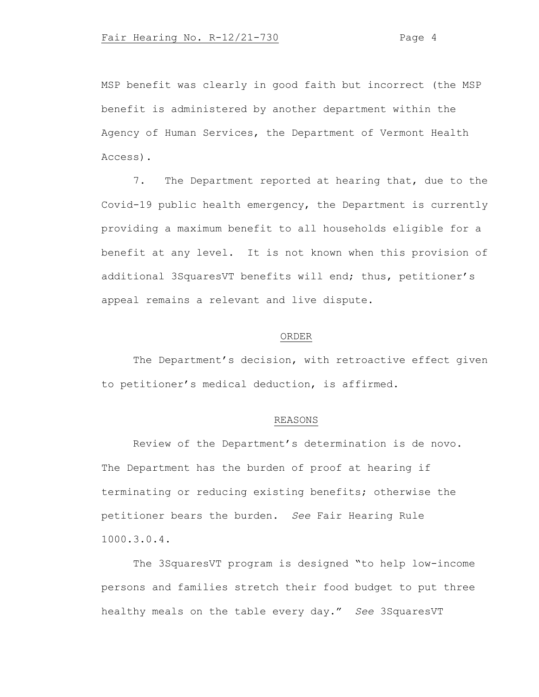MSP benefit was clearly in good faith but incorrect (the MSP benefit is administered by another department within the Agency of Human Services, the Department of Vermont Health Access).

7. The Department reported at hearing that, due to the Covid-19 public health emergency, the Department is currently providing a maximum benefit to all households eligible for a benefit at any level. It is not known when this provision of additional 3SquaresVT benefits will end; thus, petitioner's appeal remains a relevant and live dispute.

### ORDER

The Department's decision, with retroactive effect given to petitioner's medical deduction, is affirmed.

## REASONS

Review of the Department's determination is de novo. The Department has the burden of proof at hearing if terminating or reducing existing benefits; otherwise the petitioner bears the burden. *See* Fair Hearing Rule 1000.3.0.4.

The 3SquaresVT program is designed "to help low-income persons and families stretch their food budget to put three healthy meals on the table every day." *See* 3SquaresVT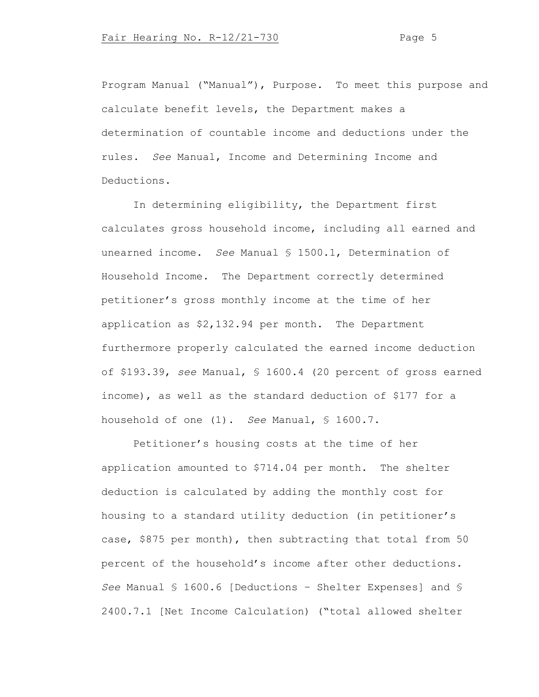Program Manual ("Manual"), Purpose. To meet this purpose and calculate benefit levels, the Department makes a determination of countable income and deductions under the rules. *See* Manual, Income and Determining Income and Deductions.

In determining eligibility, the Department first calculates gross household income, including all earned and unearned income. *See* Manual § 1500.1, Determination of Household Income. The Department correctly determined petitioner's gross monthly income at the time of her application as \$2,132.94 per month. The Department furthermore properly calculated the earned income deduction of \$193.39, *see* Manual, § 1600.4 (20 percent of gross earned income), as well as the standard deduction of \$177 for a household of one (1). *See* Manual, § 1600.7.

Petitioner's housing costs at the time of her application amounted to \$714.04 per month. The shelter deduction is calculated by adding the monthly cost for housing to a standard utility deduction (in petitioner's case, \$875 per month), then subtracting that total from 50 percent of the household's income after other deductions. *See* Manual § 1600.6 [Deductions – Shelter Expenses] and § 2400.7.1 [Net Income Calculation) ("total allowed shelter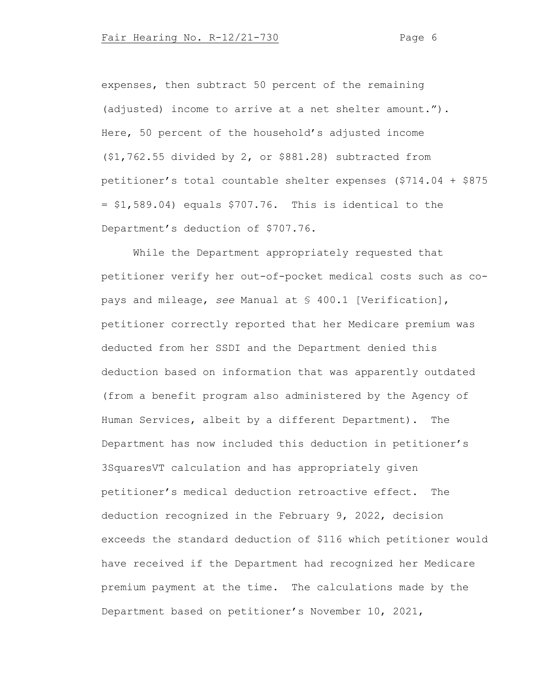expenses, then subtract 50 percent of the remaining (adjusted) income to arrive at a net shelter amount."). Here, 50 percent of the household's adjusted income (\$1,762.55 divided by 2, or \$881.28) subtracted from petitioner's total countable shelter expenses (\$714.04 + \$875  $= $1,589.04$ ) equals  $$707.76$ . This is identical to the Department's deduction of \$707.76.

While the Department appropriately requested that petitioner verify her out-of-pocket medical costs such as copays and mileage, *see* Manual at § 400.1 [Verification], petitioner correctly reported that her Medicare premium was deducted from her SSDI and the Department denied this deduction based on information that was apparently outdated (from a benefit program also administered by the Agency of Human Services, albeit by a different Department). The Department has now included this deduction in petitioner's 3SquaresVT calculation and has appropriately given petitioner's medical deduction retroactive effect. The deduction recognized in the February 9, 2022, decision exceeds the standard deduction of \$116 which petitioner would have received if the Department had recognized her Medicare premium payment at the time. The calculations made by the Department based on petitioner's November 10, 2021,